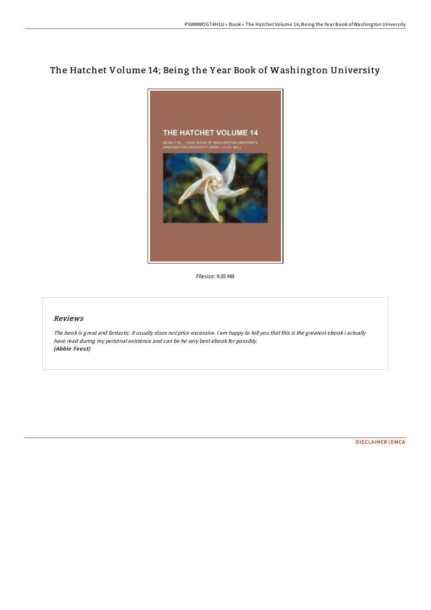# The Hatchet Volume 14; Being the Y ear Book of Washington University



Filesize: 9.05 MB

# Reviews

The book is great and fantastic. It usually does not price excessive. <sup>I</sup> am happy to tell you that this is the greatest ebook i actually have read during my personal existence and can be he very best ebook for possibly. (Abbie Feest)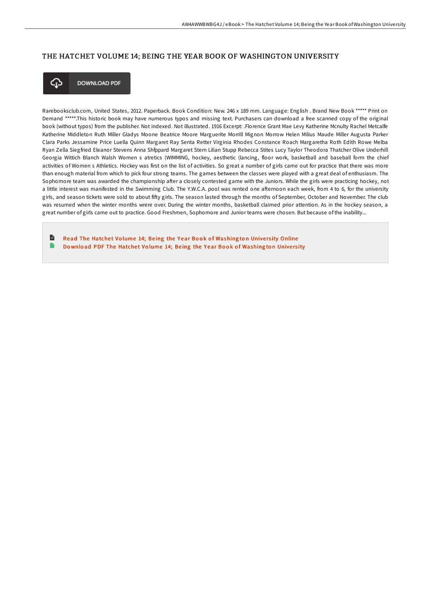## THE HATCHET VOLUME 14; BEING THE YEAR BOOK OF WASHINGTON UNIVERSITY



**DOWNLOAD PDF** 

Rarebooksclub.com, United States, 2012. Paperback. Book Condition: New. 246 x 189 mm. Language: English . Brand New Book \*\*\*\*\* Print on Demand \*\*\*\*\*.This historic book may have numerous typos and missing text. Purchasers can download a free scanned copy of the original book (without typos) from the publisher. Not indexed. Not illustrated. 1916 Excerpt: .Florence Grant Mae Levy Katherine Mcnulty Rachel Metcalfe Katherine Middleton Ruth Miller Gladys Moone Beatrice Moore Marguerite Morrill Mignon Morrow Helen Milius Maude Miller Augusta Parker Clara Parks Jessamine Price Luella Quinn Margaret Ray Senta Retter Virginia Rhodes Constance Roach Margaretha Roth Edith Rowe Melba Ryan Zella Siegfried Eleanor Stevens Anna Shfppard Margaret Stern Lilian Stupp Rebecca Stites Lucy Taylor Theodora Thatcher Olive Underhill Georgia Wittich Blanch Walsh Women s atretics (WIMMING, hockey, aesthetic (lancing, floor work, basketball and baseball form the chief activities of Women s Athletics. Hockey was first on the list of activities. So great a number of girls came out for practice that there was more than enough material from which to pick four strong teams. The games between the classes were played with a great deal of enthusiasm. The Sophomore team was awarded the championship after a closely contested game with the Juniors. While the girls were practicing hockey, not a little interest was manifested in the Swimming Club. The Y.W.C.A. pool was rented one afternoon each week, from 4 to 6, for the university girls, and season tickets were sold to about fifty girls. The season lasted through the months of September, October and November. The club was resumed when the winter months wrere over. During the winter months, basketball claimed prior attention. As in the hockey season, a great number of girls came out to practice. Good Freshmen, Sophomore and Junior teams were chosen. But because of the inability...

 $\mathbf{r}$ Read The Hatchet Volume 14; Being the Year Book of [Washing](http://almighty24.tech/the-hatchet-volume-14-being-the-year-book-of-was.html)ton University Online Download PDF The Hatchet Volume 14; Being the Year Book of [Washing](http://almighty24.tech/the-hatchet-volume-14-being-the-year-book-of-was.html)ton University